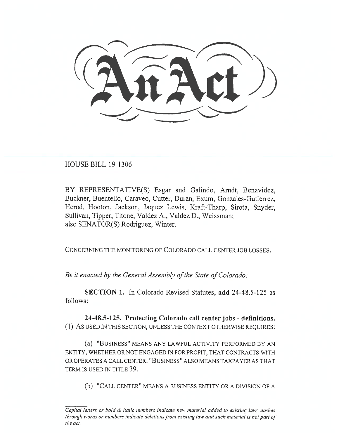HOUSE BILL 19-1306

BY REPRESENTATIVE(S) Esgar and Galindo, Arndt, Benavidez, Buckner, Buentello, Caraveo, Cutter, Duran, Exum, Gonzales-Gutierrez, Herod, Hooton, Jackson, Jaquez Lewis, Kraft-Tharp, Sirota, Snyder, Sullivan, Tipper, Titone, Valdez A., Valdez D., Weissman; also SENATOR(S) Rodriguez, Winter.

CONCERNING THE MONITORING OF COLORADO CALL CENTER JOB LOSSES.

*Be it enacted by the General Assembly of the State of Colorado:* 

**SECTION 1.** In Colorado Revised Statutes, **add** 24-48.5-125 as follows:

**24-48.5-125. Protecting Colorado call center jobs - definitions.**  (1) AS USED IN THIS SECTION, UNLESS THE CONTEXT OTHERWISE REQUIRES:

(a) "BUSINESS" MEANS ANY LAWFUL ACTIVITY PERFORMED BY AN ENTITY, WHETHER OR NOT ENGAGED IN FOR PROFIT, THAT CONTRACTS WITH OR OPERATES A CALL CENTER. "BUSINESS" ALSO MEANS TAXPAYER AS THAT TERM IS USED IN TITLE 39.

(b) "CALL CENTER" MEANS A BUSINESS ENTITY OR A DIVISION OF A

*Capital letters or bold & italic numbers indicate new material added to existing law; dashes through words or numbers indicate deletions from existing law and such material is not part of the act.*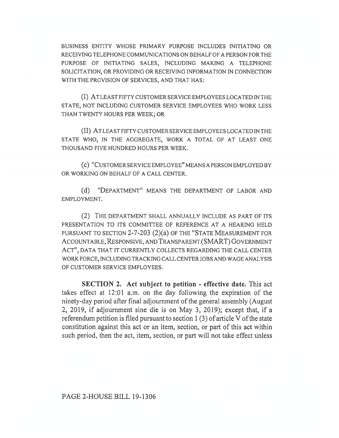BUSINESS ENTITY WHOSE PRIMARY PURPOSE INCLUDES INITIATING OR RECEIVING TELEPHONE COMMUNICATIONS ON BEHALF OF A PERSON FOR THE PURPOSE OF INITIATING SALES, INCLUDING MAKING A TELEPHONE SOLICITATION, OR PROVIDING OR RECEIVING INFORMATION IN CONNECTION WITH THE PROVISION OF SERVICES, AND THAT HAS:

(I) AT LEAST FIFTY CUSTOMER SERVICE EMPLOYEES LOCATED IN THE STATE, NOT INCLUDING CUSTOMER SERVICE EMPLOYEES WHO WORK LESS THAN TWENTY HOURS PER WEEK; OR

(II) AT LEAST FIFTY CUSTOMER SERVICE EMPLOYEES LOCATED IN THE STATE WHO, IN THE AGGREGATE, WORK A TOTAL OF AT LEAST ONE THOUSAND FIVE HUNDRED HOURS PER WEEK.

(c) "CUSTOMER SERVICE EMPLOYEE" MEANS A PERSON EMPLOYED BY OR WORKING ON BEHALF OF A CALL CENTER.

(d) "DEPARTMENT" MEANS THE DEPARTMENT OF LABOR AND EMPLOYMENT.

(2) THE DEPARTMENT SHALL ANNUALLY INCLUDE AS PART OF ITS PRESENTATION TO ITS COMMITTEE OF REFERENCE AT A HEARING HELD PURSUANT TO SECTION 2-7-203 (2)(a) OF THE "STATE MEASUREMENT FOR ACCOUNTABLE, RESPONSIVE, AND TRANSPARENT (SMART) GOVERNMENT ACT", DATA THAT IT CURRENTLY COLLECTS REGARDING THE CALL CENTER WORK FORCE, INCLUDING TRACKING CALL CENTER JOBS AND WAGE ANALYSIS OF CUSTOMER SERVICE EMPLOYEES.

**SECTION 2. Act subject to petition - effective date.** This act takes effect at 12:01 a.m. on the day following the expiration of the ninety-day period after final adjournment of the general assembly (August 2, 2019, if adjournment sine die is on May 3, 2019); except that, if a referendum petition is filed pursuant to section 1 (3) of article V of the state constitution against this act or an item, section, or part of this act within such period, then the act, item, section, or part will not take effect unless